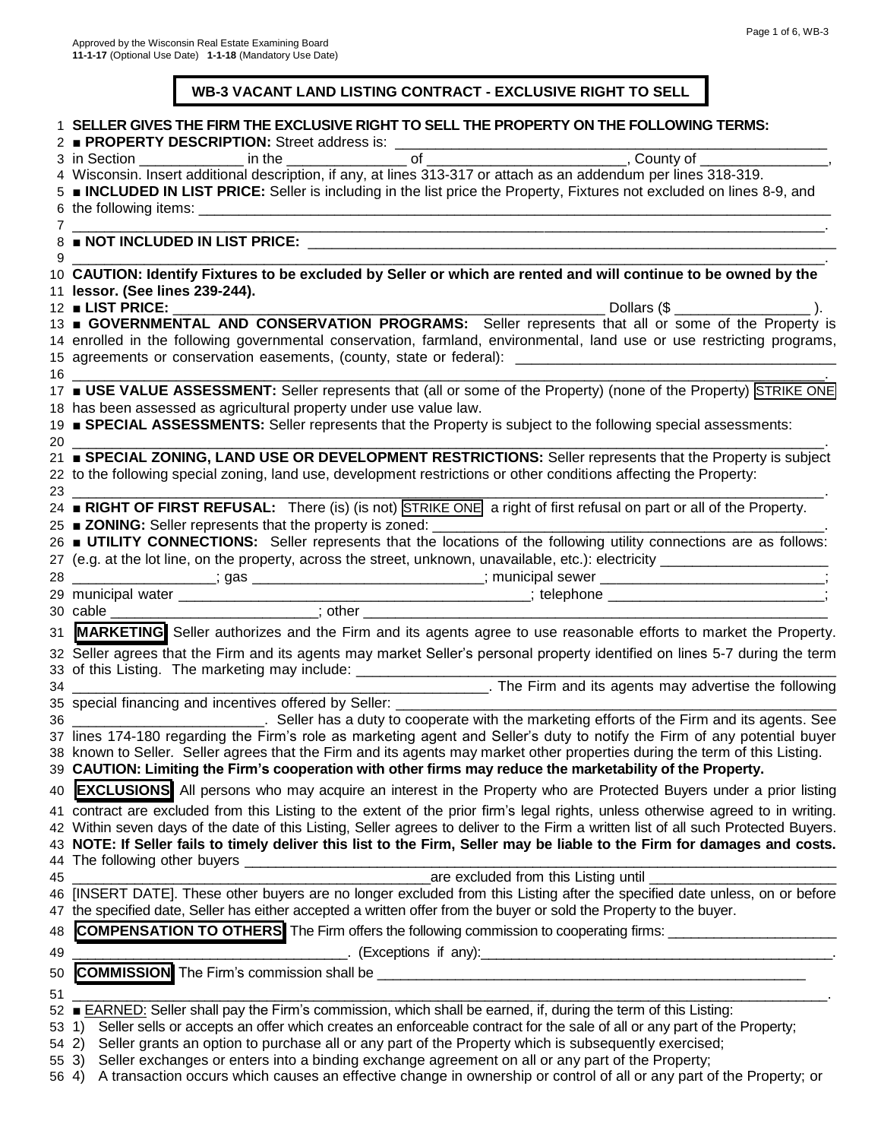#### **WB-3 VACANT LAND LISTING CONTRACT - EXCLUSIVE RIGHT TO SELL**

|            | SELLER GIVES THE FIRM THE EXCLUSIVE RIGHT TO SELL THE PROPERTY ON THE FOLLOWING TERMS:<br>PROPERTY DESCRIPTION: Street address is:                                                                                                       |
|------------|------------------------------------------------------------------------------------------------------------------------------------------------------------------------------------------------------------------------------------------|
|            |                                                                                                                                                                                                                                          |
|            | 4 Wisconsin. Insert additional description, if any, at lines 313-317 or attach as an addendum per lines 318-319.                                                                                                                         |
|            | 5 <b>INCLUDED IN LIST PRICE:</b> Seller is including in the list price the Property, Fixtures not excluded on lines 8-9, and                                                                                                             |
|            | 6 the following items: example a state of the following items:<br>$7\overline{ }$                                                                                                                                                        |
|            | 8 NOT INCLUDED IN LIST PRICE:                                                                                                                                                                                                            |
| 9          | 10 CAUTION: Identify Fixtures to be excluded by Seller or which are rented and will continue to be owned by the                                                                                                                          |
|            | 11 lessor. (See lines 239-244).                                                                                                                                                                                                          |
|            | $12$ LIST PRICE:                                                                                                                                                                                                                         |
|            | 13 GOVERNMENTAL AND CONSERVATION PROGRAMS: Seller represents that all or some of the Property is                                                                                                                                         |
|            | 14 enrolled in the following governmental conservation, farmland, environmental, land use or use restricting programs,                                                                                                                   |
|            |                                                                                                                                                                                                                                          |
|            | $16 \quad \overline{\quad}$                                                                                                                                                                                                              |
|            | 17 <b>USE VALUE ASSESSMENT:</b> Seller represents that (all or some of the Property) (none of the Property) STRIKE ONE                                                                                                                   |
|            | 18 has been assessed as agricultural property under use value law.                                                                                                                                                                       |
| 20         | 19 SPECIAL ASSESSMENTS: Seller represents that the Property is subject to the following special assessments:                                                                                                                             |
|            | 21 <b>BOECIAL ZONING, LAND USE OR DEVELOPMENT RESTRICTIONS:</b> Seller represents that the Property is subject                                                                                                                           |
|            | 22 to the following special zoning, land use, development restrictions or other conditions affecting the Property:                                                                                                                       |
| 23         |                                                                                                                                                                                                                                          |
|            | 24 RIGHT OF FIRST REFUSAL: There (is) (is not) STRIKE ONE a right of first refusal on part or all of the Property.                                                                                                                       |
|            | 25 ■ ZONING: Seller represents that the property is zoned:                                                                                                                                                                               |
|            | 26 ■ UTILITY CONNECTIONS: Seller represents that the locations of the following utility connections are as follows:                                                                                                                      |
|            |                                                                                                                                                                                                                                          |
|            | 28 ___________________; gas ____________________________; municipal sewer __________________________                                                                                                                                     |
|            |                                                                                                                                                                                                                                          |
|            |                                                                                                                                                                                                                                          |
|            | 31 MARKETING Seller authorizes and the Firm and its agents agree to use reasonable efforts to market the Property.                                                                                                                       |
|            | 32 Seller agrees that the Firm and its agents may market Seller's personal property identified on lines 5-7 during the term                                                                                                              |
|            | 33 of this Listing. The marketing may include: _________________________________                                                                                                                                                         |
|            |                                                                                                                                                                                                                                          |
|            | 36 _____________________________. Seller has a duty to cooperate with the marketing efforts of the Firm and its agents. See                                                                                                              |
|            | 37 lines 174-180 regarding the Firm's role as marketing agent and Seller's duty to notify the Firm of any potential buyer                                                                                                                |
|            | 38 known to Seller. Seller agrees that the Firm and its agents may market other properties during the term of this Listing.                                                                                                              |
|            | 39 CAUTION: Limiting the Firm's cooperation with other firms may reduce the marketability of the Property.                                                                                                                               |
| 40         | <b>EXCLUSIONS</b> All persons who may acquire an interest in the Property who are Protected Buyers under a prior listing                                                                                                                 |
|            | 41 contract are excluded from this Listing to the extent of the prior firm's legal rights, unless otherwise agreed to in writing.                                                                                                        |
|            | 42 Within seven days of the date of this Listing, Seller agrees to deliver to the Firm a written list of all such Protected Buyers.                                                                                                      |
|            | 43 NOTE: If Seller fails to timely deliver this list to the Firm, Seller may be liable to the Firm for damages and costs.                                                                                                                |
|            |                                                                                                                                                                                                                                          |
| 45         | are excluded from this Listing until                                                                                                                                                                                                     |
| 46         | [INSERT DATE]. These other buyers are no longer excluded from this Listing after the specified date unless, on or before                                                                                                                 |
|            | 47 the specified date, Seller has either accepted a written offer from the buyer or sold the Property to the buyer.                                                                                                                      |
| 48         | <b>COMPENSATION TO OTHERS</b> The Firm offers the following commission to cooperating firms:                                                                                                                                             |
| 49         | <b>Exceptions if any</b> ): <b>Exceptions</b> if any and the set of the set of the set of the set of the set of the set of the set of the set of the set of the set of the set of the set of the set of the set of the set of the set of |
| 50         |                                                                                                                                                                                                                                          |
| 51         |                                                                                                                                                                                                                                          |
| 52         | <b>EARNED:</b> Seller shall pay the Firm's commission, which shall be earned, if, during the term of this Listing:                                                                                                                       |
| 53         | Seller sells or accepts an offer which creates an enforceable contract for the sale of all or any part of the Property;<br>1)                                                                                                            |
| $54 \, 2)$ | Seller grants an option to purchase all or any part of the Property which is subsequently exercised;                                                                                                                                     |
|            | Seller exchanges or enters into a binding exchange agreement on all or any part of the Property;<br>55 3)                                                                                                                                |
| 56 4)      | A transaction occurs which causes an effective change in ownership or control of all or any part of the Property; or                                                                                                                     |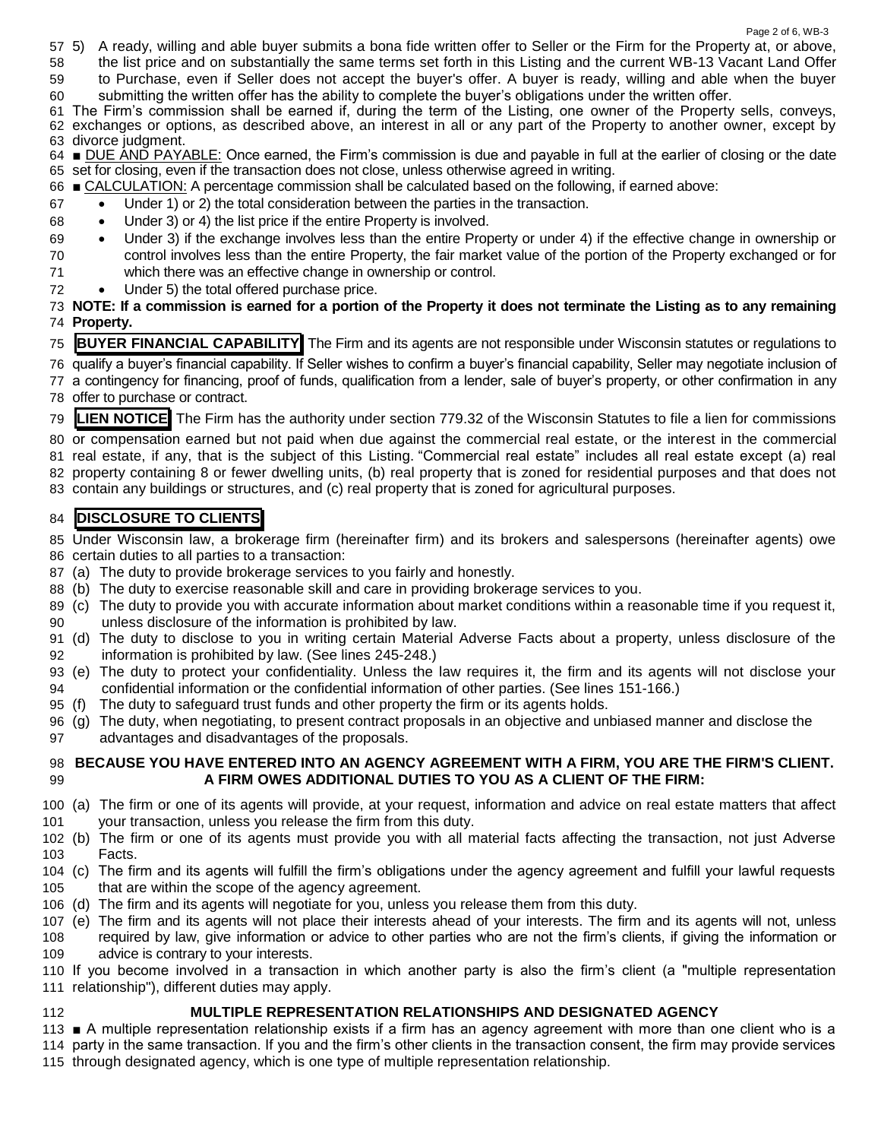- 5) A ready, willing and able buyer submits a bona fide written offer to Seller or the Firm for the Property at, or above,
- the list price and on substantially the same terms set forth in this Listing and the current WB-13 Vacant Land Offer
- to Purchase, even if Seller does not accept the buyer's offer. A buyer is ready, willing and able when the buyer
- submitting the written offer has the ability to complete the buyer's obligations under the written offer.

 The Firm's commission shall be earned if, during the term of the Listing, one owner of the Property sells, conveys, exchanges or options, as described above, an interest in all or any part of the Property to another owner, except by divorce judgment.

 ■ DUE AND PAYABLE: Once earned, the Firm's commission is due and payable in full at the earlier of closing or the date set for closing, even if the transaction does not close, unless otherwise agreed in writing.

- CALCULATION: A percentage commission shall be calculated based on the following, if earned above:
- Under 1) or 2) the total consideration between the parties in the transaction.
- Under 3) or 4) the list price if the entire Property is involved.
- Under 3) if the exchange involves less than the entire Property or under 4) if the effective change in ownership or control involves less than the entire Property, the fair market value of the portion of the Property exchanged or for which there was an effective change in ownership or control.
- Under 5) the total offered purchase price.
- **NOTE: If a commission is earned for a portion of the Property it does not terminate the Listing as to any remaining Property.**

**BUYER FINANCIAL CAPABILITY** The Firm and its agents are not responsible under Wisconsin statutes or regulations to

 qualify a buyer's financial capability. If Seller wishes to confirm a buyer's financial capability, Seller may negotiate inclusion of a contingency for financing, proof of funds, qualification from a lender, sale of buyer's property, or other confirmation in any

offer to purchase or contract.

**LIEN NOTICE** The Firm has the authority under section 779.32 of the Wisconsin Statutes to file a lien for commissions

 or compensation earned but not paid when due against the commercial real estate, or the interest in the commercial real estate, if any, that is the subject of this Listing. "Commercial real estate" includes all real estate except (a) real property containing 8 or fewer dwelling units, (b) real property that is zoned for residential purposes and that does not

contain any buildings or structures, and (c) real property that is zoned for agricultural purposes.

# **DISCLOSURE TO CLIENTS**

 Under Wisconsin law, a brokerage firm (hereinafter firm) and its brokers and salespersons (hereinafter agents) owe certain duties to all parties to a transaction:

- (a) The duty to provide brokerage services to you fairly and honestly.
- (b) The duty to exercise reasonable skill and care in providing brokerage services to you.
- (c) The duty to provide you with accurate information about market conditions within a reasonable time if you request it, unless disclosure of the information is prohibited by law.
- (d) The duty to disclose to you in writing certain Material Adverse Facts about a property, unless disclosure of the information is prohibited by law. (See lines 245-248.)
- (e) The duty to protect your confidentiality. Unless the law requires it, the firm and its agents will not disclose your confidential information or the confidential information of other parties. (See lines 151-166.)
- (f) The duty to safeguard trust funds and other property the firm or its agents holds.
- (g) The duty, when negotiating, to present contract proposals in an objective and unbiased manner and disclose the
- advantages and disadvantages of the proposals.

#### **BECAUSE YOU HAVE ENTERED INTO AN AGENCY AGREEMENT WITH A FIRM, YOU ARE THE FIRM'S CLIENT. A FIRM OWES ADDITIONAL DUTIES TO YOU AS A CLIENT OF THE FIRM:**

- (a) The firm or one of its agents will provide, at your request, information and advice on real estate matters that affect your transaction, unless you release the firm from this duty.
- (b) The firm or one of its agents must provide you with all material facts affecting the transaction, not just Adverse Facts.
- (c) The firm and its agents will fulfill the firm's obligations under the agency agreement and fulfill your lawful requests that are within the scope of the agency agreement.
- (d) The firm and its agents will negotiate for you, unless you release them from this duty.
- (e) The firm and its agents will not place their interests ahead of your interests. The firm and its agents will not, unless required by law, give information or advice to other parties who are not the firm's clients, if giving the information or advice is contrary to your interests.

 If you become involved in a transaction in which another party is also the firm's client (a "multiple representation relationship"), different duties may apply.

#### **MULTIPLE REPRESENTATION RELATIONSHIPS AND DESIGNATED AGENCY**

 ■ A multiple representation relationship exists if a firm has an agency agreement with more than one client who is a party in the same transaction. If you and the firm's other clients in the transaction consent, the firm may provide services through designated agency, which is one type of multiple representation relationship.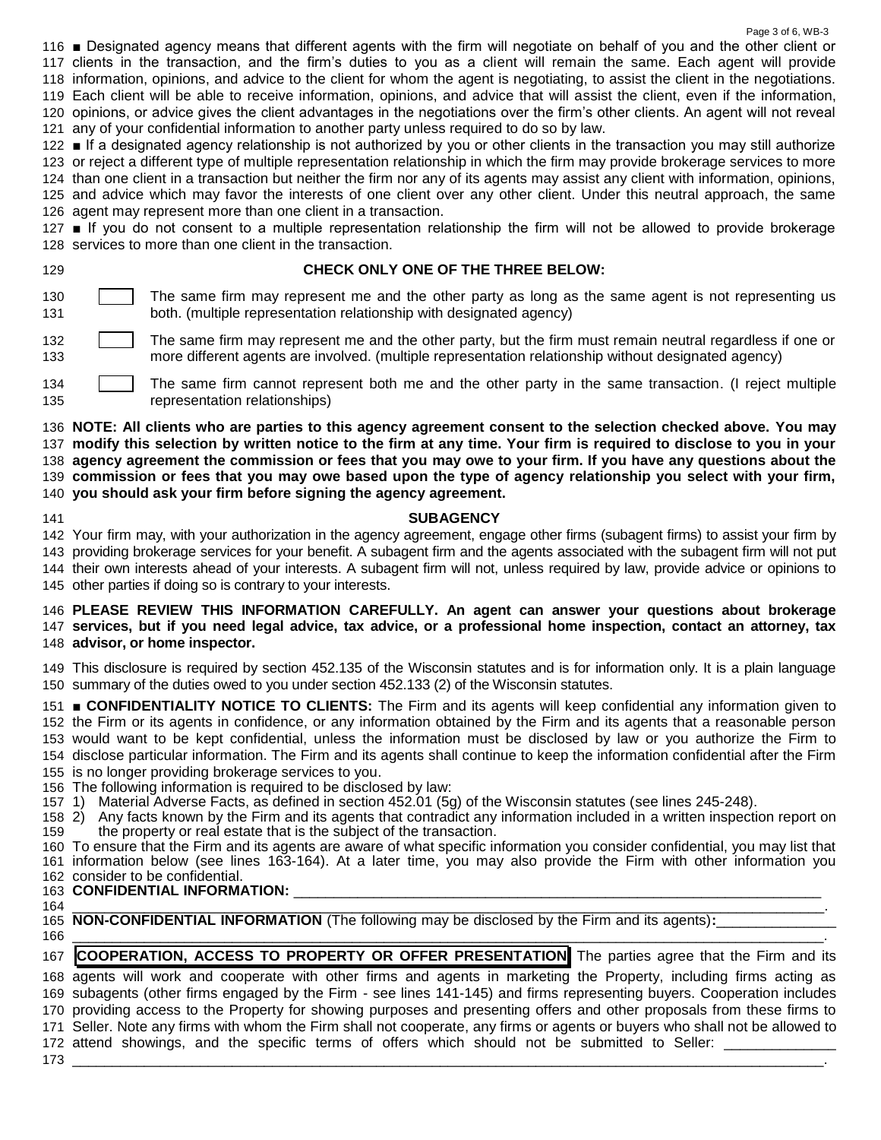■ Designated agency means that different agents with the firm will negotiate on behalf of you and the other client or clients in the transaction, and the firm's duties to you as a client will remain the same. Each agent will provide information, opinions, and advice to the client for whom the agent is negotiating, to assist the client in the negotiations. Each client will be able to receive information, opinions, and advice that will assist the client, even if the information, opinions, or advice gives the client advantages in the negotiations over the firm's other clients. An agent will not reveal any of your confidential information to another party unless required to do so by law.

Page 3 of 6, WB-3

 ■ If a designated agency relationship is not authorized by you or other clients in the transaction you may still authorize or reject a different type of multiple representation relationship in which the firm may provide brokerage services to more than one client in a transaction but neither the firm nor any of its agents may assist any client with information, opinions, and advice which may favor the interests of one client over any other client. Under this neutral approach, the same agent may represent more than one client in a transaction.

 ■ If you do not consent to a multiple representation relationship the firm will not be allowed to provide brokerage services to more than one client in the transaction.

### **CHECK ONLY ONE OF THE THREE BELOW:**

**The same firm may represent me and the other party as long as the same agent is not representing us** both. (multiple representation relationship with designated agency)

**The same firm may represent me and the other party**, but the firm must remain neutral regardless if one or more different agents are involved. (multiple representation relationship without designated agency)

 The same firm cannot represent both me and the other party in the same transaction. (I reject multiple representation relationships)

 **NOTE: All clients who are parties to this agency agreement consent to the selection checked above. You may modify this selection by written notice to the firm at any time. Your firm is required to disclose to you in your agency agreement the commission or fees that you may owe to your firm. If you have any questions about the commission or fees that you may owe based upon the type of agency relationship you select with your firm, you should ask your firm before signing the agency agreement.**

## **SUBAGENCY**

 Your firm may, with your authorization in the agency agreement, engage other firms (subagent firms) to assist your firm by providing brokerage services for your benefit. A subagent firm and the agents associated with the subagent firm will not put their own interests ahead of your interests. A subagent firm will not, unless required by law, provide advice or opinions to other parties if doing so is contrary to your interests.

#### **PLEASE REVIEW THIS INFORMATION CAREFULLY. An agent can answer your questions about brokerage services, but if you need legal advice, tax advice, or a professional home inspection, contact an attorney, tax advisor, or home inspector.**

 This disclosure is required by section 452.135 of the Wisconsin statutes and is for information only. It is a plain language summary of the duties owed to you under section 452.133 (2) of the Wisconsin statutes.

 ■ **CONFIDENTIALITY NOTICE TO CLIENTS:** The Firm and its agents will keep confidential any information given to the Firm or its agents in confidence, or any information obtained by the Firm and its agents that a reasonable person would want to be kept confidential, unless the information must be disclosed by law or you authorize the Firm to disclose particular information. The Firm and its agents shall continue to keep the information confidential after the Firm is no longer providing brokerage services to you.

The following information is required to be disclosed by law:

1) Material Adverse Facts, as defined in section 452.01 (5g) of the Wisconsin statutes (see lines 245-248).

 2) Any facts known by the Firm and its agents that contradict any information included in a written inspection report on the property or real estate that is the subject of the transaction.

 To ensure that the Firm and its agents are aware of what specific information you consider confidential, you may list that information below (see lines 163-164). At a later time, you may also provide the Firm with other information you consider to be confidential.

# **163 CONFIDENTIAL INFORMATION:**

 \_\_\_\_\_\_\_\_\_\_\_\_\_\_\_\_\_\_\_\_\_\_\_\_\_\_\_\_\_\_\_\_\_\_\_\_\_\_\_\_\_\_\_\_\_\_\_\_\_\_\_\_\_\_\_\_\_\_\_\_\_\_\_\_\_\_\_\_\_\_\_\_\_\_\_\_\_\_\_\_\_\_\_\_\_\_\_\_\_\_\_\_\_\_. **NON-CONFIDENTIAL INFORMATION** (The following may be disclosed by the Firm and its agents):

 \_\_\_\_\_\_\_\_\_\_\_\_\_\_\_\_\_\_\_\_\_\_\_\_\_\_\_\_\_\_\_\_\_\_\_\_\_\_\_\_\_\_\_\_\_\_\_\_\_\_\_\_\_\_\_\_\_\_\_\_\_\_\_\_\_\_\_\_\_\_\_\_\_\_\_\_\_\_\_\_\_\_\_\_\_\_\_\_\_\_\_\_\_\_. **COOPERATION, ACCESS TO PROPERTY OR OFFER PRESENTATION** The parties agree that the Firm and its

 agents will work and cooperate with other firms and agents in marketing the Property, including firms acting as subagents (other firms engaged by the Firm - see lines 141-145) and firms representing buyers. Cooperation includes providing access to the Property for showing purposes and presenting offers and other proposals from these firms to Seller. Note any firms with whom the Firm shall not cooperate, any firms or agents or buyers who shall not be allowed to 172 attend showings, and the specific terms of offers which should not be submitted to Seller: \_

\_\_\_\_\_\_\_\_\_\_\_\_\_\_\_\_\_\_\_\_\_\_\_\_\_\_\_\_\_\_\_\_\_\_\_\_\_\_\_\_\_\_\_\_\_\_\_\_\_\_\_\_\_\_\_\_\_\_\_\_\_\_\_\_\_\_\_\_\_\_\_\_\_\_\_\_\_\_\_\_\_\_\_\_\_\_\_\_\_\_\_\_\_\_.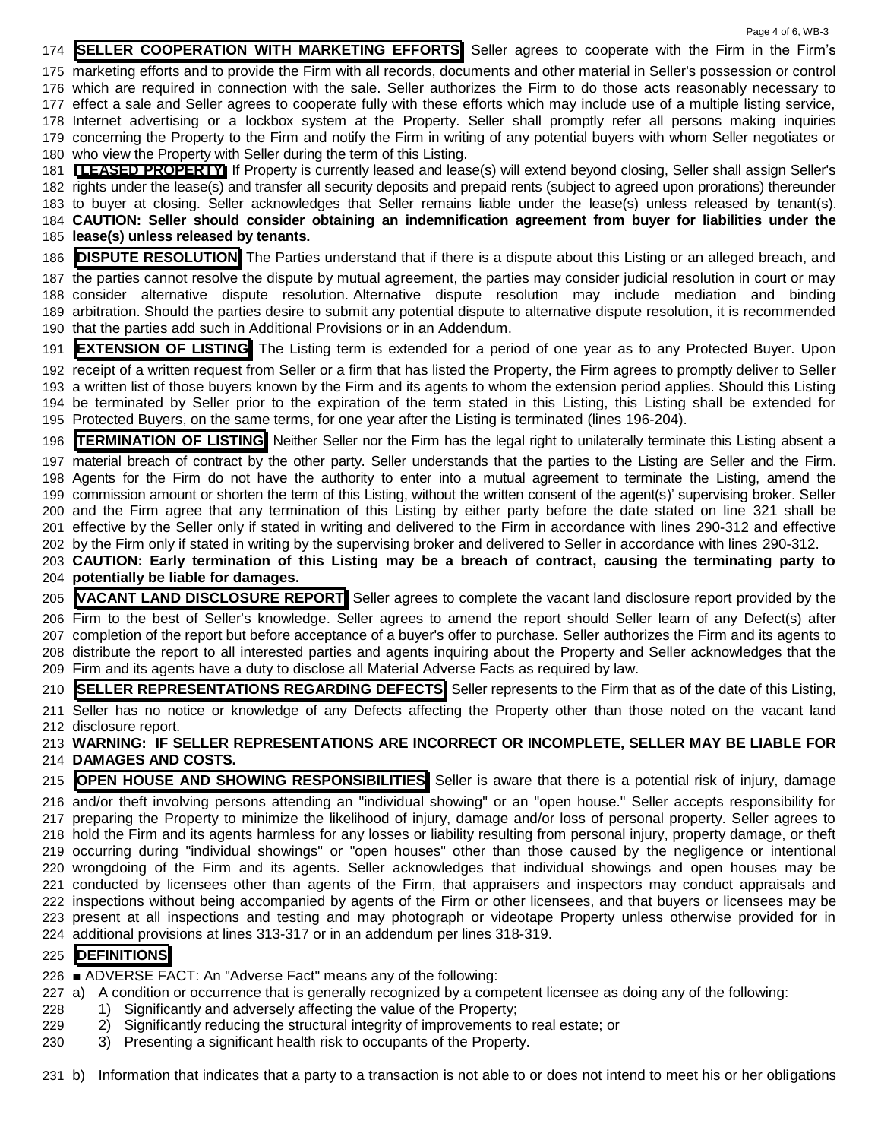Page 4 of 6, WB-3 **SELLER COOPERATION WITH MARKETING EFFORTS** Seller agrees to cooperate with the Firm in the Firm's marketing efforts and to provide the Firm with all records, documents and other material in Seller's possession or control which are required in connection with the sale. Seller authorizes the Firm to do those acts reasonably necessary to effect a sale and Seller agrees to cooperate fully with these efforts which may include use of a multiple listing service, Internet advertising or a lockbox system at the Property. Seller shall promptly refer all persons making inquiries concerning the Property to the Firm and notify the Firm in writing of any potential buyers with whom Seller negotiates or who view the Property with Seller during the term of this Listing. **LEASED PROPERTY** If Property is currently leased and lease(s) will extend beyond closing, Seller shall assign Seller's rights under the lease(s) and transfer all security deposits and prepaid rents (subject to agreed upon prorations) thereunder to buyer at closing. Seller acknowledges that Seller remains liable under the lease(s) unless released by tenant(s). **CAUTION: Seller should consider obtaining an indemnification agreement from buyer for liabilities under the lease(s) unless released by tenants. DISPUTE RESOLUTION** The Parties understand that if there is a dispute about this Listing or an alleged breach, and the parties cannot resolve the dispute by mutual agreement, the parties may consider judicial resolution in court or may consider alternative dispute resolution. Alternative dispute resolution may include mediation and binding arbitration. Should the parties desire to submit any potential dispute to alternative dispute resolution, it is recommended that the parties add such in Additional Provisions or in an Addendum. **EXTENSION OF LISTING** The Listing term is extended for a period of one year as to any Protected Buyer. Upon receipt of a written request from Seller or a firm that has listed the Property, the Firm agrees to promptly deliver to Seller a written list of those buyers known by the Firm and its agents to whom the extension period applies. Should this Listing be terminated by Seller prior to the expiration of the term stated in this Listing, this Listing shall be extended for Protected Buyers, on the same terms, for one year after the Listing is terminated (lines 196-204). **TERMINATION OF LISTING** Neither Seller nor the Firm has the legal right to unilaterally terminate this Listing absent a material breach of contract by the other party. Seller understands that the parties to the Listing are Seller and the Firm. Agents for the Firm do not have the authority to enter into a mutual agreement to terminate the Listing, amend the commission amount or shorten the term of this Listing, without the written consent of the agent(s)' supervising broker. Seller and the Firm agree that any termination of this Listing by either party before the date stated on line 321 shall be effective by the Seller only if stated in writing and delivered to the Firm in accordance with lines 290-312 and effective by the Firm only if stated in writing by the supervising broker and delivered to Seller in accordance with lines 290-312. **CAUTION: Early termination of this Listing may be a breach of contract, causing the terminating party to potentially be liable for damages. VACANT LAND DISCLOSURE REPORT** Seller agrees to complete the vacant land disclosure report provided by the Firm to the best of Seller's knowledge. Seller agrees to amend the report should Seller learn of any Defect(s) after completion of the report but before acceptance of a buyer's offer to purchase. Seller authorizes the Firm and its agents to distribute the report to all interested parties and agents inquiring about the Property and Seller acknowledges that the Firm and its agents have a duty to disclose all Material Adverse Facts as required by law. **SELLER REPRESENTATIONS REGARDING DEFECTS** Seller represents to the Firm that as of the date of this Listing, Seller has no notice or knowledge of any Defects affecting the Property other than those noted on the vacant land disclosure report. **WARNING: IF SELLER REPRESENTATIONS ARE INCORRECT OR INCOMPLETE, SELLER MAY BE LIABLE FOR DAMAGES AND COSTS. OPEN HOUSE AND SHOWING RESPONSIBILITIES** Seller is aware that there is a potential risk of injury, damage

 and/or theft involving persons attending an "individual showing" or an "open house." Seller accepts responsibility for preparing the Property to minimize the likelihood of injury, damage and/or loss of personal property. Seller agrees to hold the Firm and its agents harmless for any losses or liability resulting from personal injury, property damage, or theft occurring during "individual showings" or "open houses" other than those caused by the negligence or intentional wrongdoing of the Firm and its agents. Seller acknowledges that individual showings and open houses may be conducted by licensees other than agents of the Firm, that appraisers and inspectors may conduct appraisals and inspections without being accompanied by agents of the Firm or other licensees, and that buyers or licensees may be present at all inspections and testing and may photograph or videotape Property unless otherwise provided for in additional provisions at lines 313-317 or in an addendum per lines 318-319.

# **DEFINITIONS**

■ ADVERSE FACT: An "Adverse Fact" means any of the following:

- a) A condition or occurrence that is generally recognized by a competent licensee as doing any of the following:
- 1) Significantly and adversely affecting the value of the Property;
- 2) Significantly reducing the structural integrity of improvements to real estate; or
- 3) Presenting a significant health risk to occupants of the Property.

b) Information that indicates that a party to a transaction is not able to or does not intend to meet his or her obligations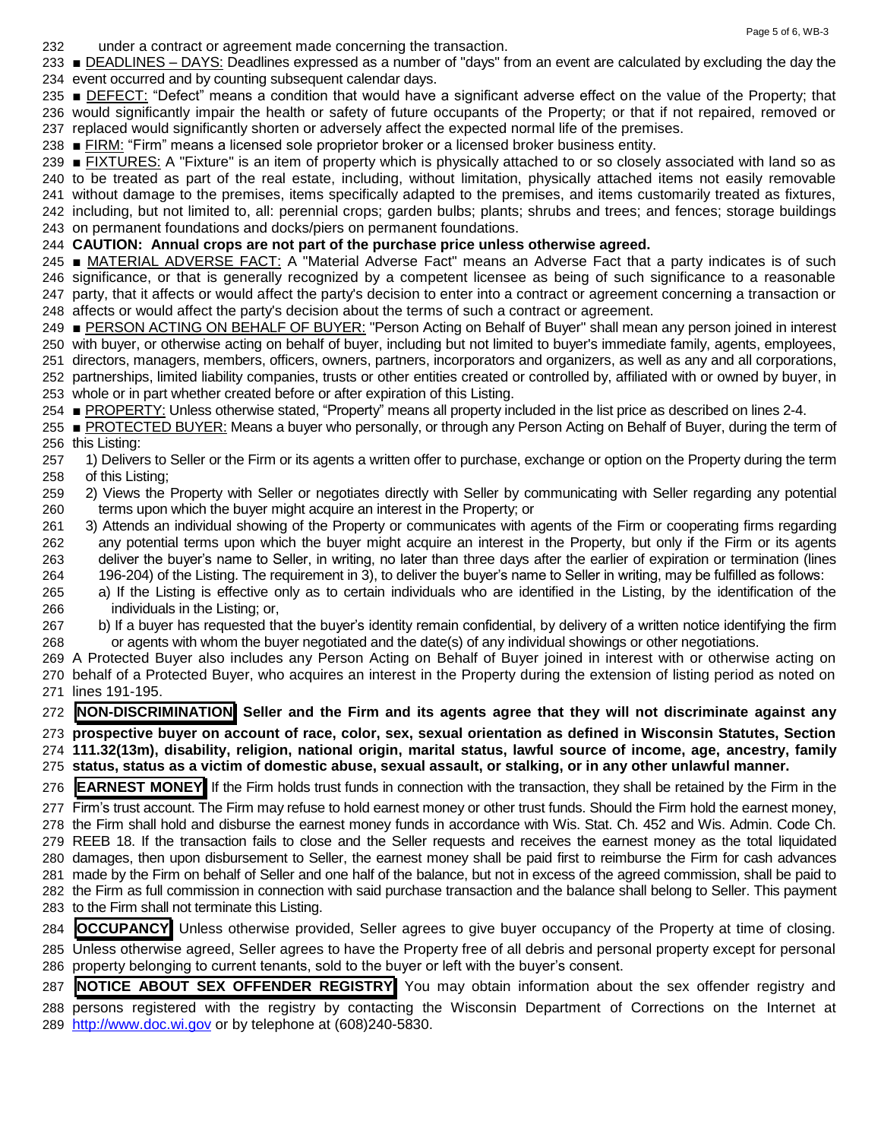under a contract or agreement made concerning the transaction.

 ■ DEADLINES – DAYS: Deadlines expressed as a number of "days" from an event are calculated by excluding the day the event occurred and by counting subsequent calendar days.

235 ■ DEFECT: "Defect" means a condition that would have a significant adverse effect on the value of the Property; that would significantly impair the health or safety of future occupants of the Property; or that if not repaired, removed or replaced would significantly shorten or adversely affect the expected normal life of the premises.

■ FIRM: "Firm" means a licensed sole proprietor broker or a licensed broker business entity.

 ■ FIXTURES: A "Fixture" is an item of property which is physically attached to or so closely associated with land so as to be treated as part of the real estate, including, without limitation, physically attached items not easily removable without damage to the premises, items specifically adapted to the premises, and items customarily treated as fixtures, including, but not limited to, all: perennial crops; garden bulbs; plants; shrubs and trees; and fences; storage buildings on permanent foundations and docks/piers on permanent foundations.

#### **CAUTION: Annual crops are not part of the purchase price unless otherwise agreed.**

 ■ MATERIAL ADVERSE FACT: A "Material Adverse Fact" means an Adverse Fact that a party indicates is of such significance, or that is generally recognized by a competent licensee as being of such significance to a reasonable party, that it affects or would affect the party's decision to enter into a contract or agreement concerning a transaction or affects or would affect the party's decision about the terms of such a contract or agreement.

 ■ PERSON ACTING ON BEHALF OF BUYER: "Person Acting on Behalf of Buyer" shall mean any person joined in interest with buyer, or otherwise acting on behalf of buyer, including but not limited to buyer's immediate family, agents, employees,

 directors, managers, members, officers, owners, partners, incorporators and organizers, as well as any and all corporations, partnerships, limited liability companies, trusts or other entities created or controlled by, affiliated with or owned by buyer, in whole or in part whether created before or after expiration of this Listing.

■ PROPERTY: Unless otherwise stated, "Property" means all property included in the list price as described on lines 2-4.

255 ■ PROTECTED BUYER: Means a buyer who personally, or through any Person Acting on Behalf of Buyer, during the term of this Listing:

- 1) Delivers to Seller or the Firm or its agents a written offer to purchase, exchange or option on the Property during the term of this Listing;
- 2) Views the Property with Seller or negotiates directly with Seller by communicating with Seller regarding any potential terms upon which the buyer might acquire an interest in the Property; or
- 3) Attends an individual showing of the Property or communicates with agents of the Firm or cooperating firms regarding any potential terms upon which the buyer might acquire an interest in the Property, but only if the Firm or its agents deliver the buyer's name to Seller, in writing, no later than three days after the earlier of expiration or termination (lines 196-204) of the Listing. The requirement in 3), to deliver the buyer's name to Seller in writing, may be fulfilled as follows:
- a) If the Listing is effective only as to certain individuals who are identified in the Listing, by the identification of the individuals in the Listing; or,
- b) If a buyer has requested that the buyer's identity remain confidential, by delivery of a written notice identifying the firm or agents with whom the buyer negotiated and the date(s) of any individual showings or other negotiations.
- A Protected Buyer also includes any Person Acting on Behalf of Buyer joined in interest with or otherwise acting on behalf of a Protected Buyer, who acquires an interest in the Property during the extension of listing period as noted on lines 191-195.

 **NON-DISCRIMINATION Seller and the Firm and its agents agree that they will not discriminate against any prospective buyer on account of race, color, sex, sexual orientation as defined in Wisconsin Statutes, Section 111.32(13m), disability, religion, national origin, marital status, lawful source of income, age, ancestry, family status, status as a victim of domestic abuse, sexual assault, or stalking, or in any other unlawful manner.** 

**EARNEST MONEY** If the Firm holds trust funds in connection with the transaction, they shall be retained by the Firm in the

 Firm's trust account. The Firm may refuse to hold earnest money or other trust funds. Should the Firm hold the earnest money, the Firm shall hold and disburse the earnest money funds in accordance with Wis. Stat. Ch. 452 and Wis. Admin. Code Ch. REEB 18. If the transaction fails to close and the Seller requests and receives the earnest money as the total liquidated damages, then upon disbursement to Seller, the earnest money shall be paid first to reimburse the Firm for cash advances made by the Firm on behalf of Seller and one half of the balance, but not in excess of the agreed commission, shall be paid to the Firm as full commission in connection with said purchase transaction and the balance shall belong to Seller. This payment to the Firm shall not terminate this Listing.

 **OCCUPANCY** Unless otherwise provided, Seller agrees to give buyer occupancy of the Property at time of closing. Unless otherwise agreed, Seller agrees to have the Property free of all debris and personal property except for personal property belonging to current tenants, sold to the buyer or left with the buyer's consent.

 **NOTICE ABOUT SEX OFFENDER REGISTRY** You may obtain information about the sex offender registry and persons registered with the registry by contacting the Wisconsin Department of Corrections on the Internet at

[http://www.doc.wi.gov](http://www.doc.wi.gov/) or by telephone at (608)240-5830.